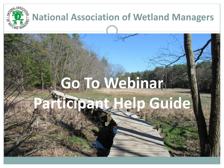

## **National Association of Wetland Managers**

## **Go To Webinar**

# **Participant Help Guide**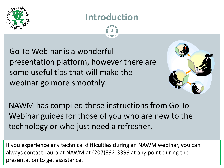

## **Introduction**

2

Go To Webinar is a wonderful presentation platform, however there are some useful tips that will make the webinar go more smoothly.



NAWM has compiled these instructions from Go To Webinar guides for those of you who are new to the technology or who just need a refresher.

If you experience any technical difficulties during an NAWM webinar, you can always contact Laura at NAWM at (207)892-3399 at any point during the presentation to get assistance.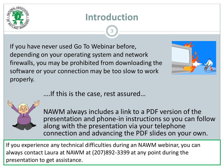

## **Introduction**

3

If you have never used Go To Webinar before, depending on your operating system and network firewalls, you may be prohibited from downloading the software or your connection may be too slow to work properly.



….If this is the case, rest assured…



NAWM always includes a link to a PDF version of the presentation and phone-in instructions so you can follow along with the presentation via your telephone connection and advancing the PDF slides on your own.

If you experience any technical difficulties during an NAWM webinar, you can always contact Laura at NAWM at (207)892-3399 at any point during the presentation to get assistance.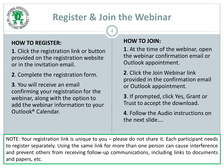

## **Register & Join the Webinar**

4

#### **HOW TO REGISTER:**

**1**. Click the registration link or button provided on the registration website or in the invitation email.

**2**. Complete the registration form.

**3**. You will receive an email confirming your registration for the webinar, along with the option to add the webinar information to your Outlook® Calendar.

#### **HOW TO JOIN:**

**1**. At the time of the webinar, open the webinar confirmation email or Outlook appointment.

**2**. Click the Join Webinar link provided in the confirmation email or Outlook appointment.

**3**. If prompted, click Yes, Grant or Trust to accept the download.

**4**. Follow the Audio instructions on the next slide….

NOTE: Your registration link is unique to you – please do not share it. Each participant needs to register separately. Using the same link for more than one person can cause interference and prevent others from receiving follow-up communications, including links to documents and papers, etc.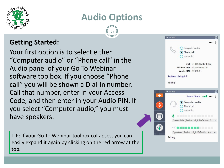

## **Audio Options**

5

#### **Getting Started:**

Your first option is to select either "Computer audio" or "Phone call" in the Audio panel of your Go To Webinar software toolbox. If you choose "Phone call" you will be shown a Dial-in number. Call that number, enter in your Access Code, and then enter in your Audio PIN. If you select "Computer audio," you must have speakers.

TIP: If your Go To Webinar toolbox collapses, you can easily expand it again by clicking on the red arrow at the top.

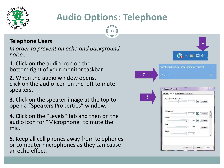

## **Audio Options: Telephone**

6

#### **Telephone Users**

*In order to prevent an echo and background noise…*

**1**. Click on the audio icon on the bottom right of your monitor taskbar.

**2**. When the audio window opens, click on the audio icon on the left to mute speakers.

**3**. Click on the speaker image at the top to open a "Speakers Properties" window.

**4**. Click on the "Levels" tab and then on the audio icon for "Microphone" to mute the mic.

**5**. Keep all cell phones away from telephones or computer microphones as they can cause an echo effect.

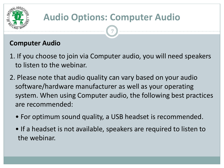

## **Audio Options: Computer Audio**

7

#### **Computer Audio**

- 1. If you choose to join via Computer audio, you will need speakers to listen to the webinar.
- 2. Please note that audio quality can vary based on your audio software/hardware manufacturer as well as your operating system. When using Computer audio, the following best practices are recommended:
	- For optimum sound quality, a USB headset is recommended.
	- If a headset is not available, speakers are required to listen to the webinar.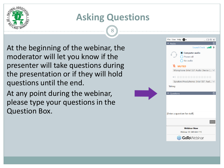

8

At the beginning of the webinar, the moderator will let you know if the presenter will take questions during the presentation or if they will hold questions until the end.

At any point during the webinar, please type your questions in the Question Box.

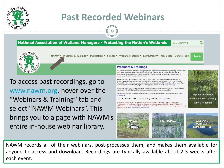

### **Past Recorded Webinars**

9

#### **National Association of Wetland Managers - Protecting the Nation's Wetlands** Search NAWM



NAWM ▼ Webinars & Trainings ▼ Publications ▼ Science ▼ Wetland Programs ▼ Law & Policy ▼ Jobs Board Donate Join Log In

To access past recordings, go to [www.nawm.org](http://www.nawm.org/), hover over the "Webinars & Training" tab and select "NAWM Webinars". This brings you to a page with NAWM's entire in-house webinar library.

#### **Webinars & Trainings**

The National Association of Wetland Managers (NAWM) is passionate about knowledge sharing. For more tha thirty years, NAWM has made it a priority to provide free, open-access training and education for our members and the public in order to build robust and effective state and tribal wetland programs and to protect wetlands resources throughout the Nation.

NAWM holds webinars on various topics, most of which relate to a specific project and work group. In addition. NAWM holds webinars as part of its members' webinar series on topics of interest to members. Please click on the webinar group name below for more details about individual webinars. In all cases, if you have any questions about registering for a webinar, please contact Laura at laura@nawm.org.

NAWM has also developed a series of online training webinars, designed to provide a more in-depth training experience, with individual modules containing objectives, guizzes, and an answer key.

If you haven't used Go To Webinar before or you just need a refresher, please view our guide prior to the webinar here

For a full list of all available webinar recordings with links, can be found here.

Please Note: NAWM is not a professional certification authority or institution. However, certificates of Participation to be used toward Continuing Education Credits are available for all live NAWM Webinars. All NAWM members receive free Certificates of Participation for webinars. Non-Members are charged a processing fee of \$25.00 US. More information is available here.



Q

Sign up to Receive

Information on Upcoming

**ASWM Webinars** 

NAWM records all of their webinars, post-processes them, and makes them available for anyone to access and download. Recordings are typically available about 2-3 weeks after each event.